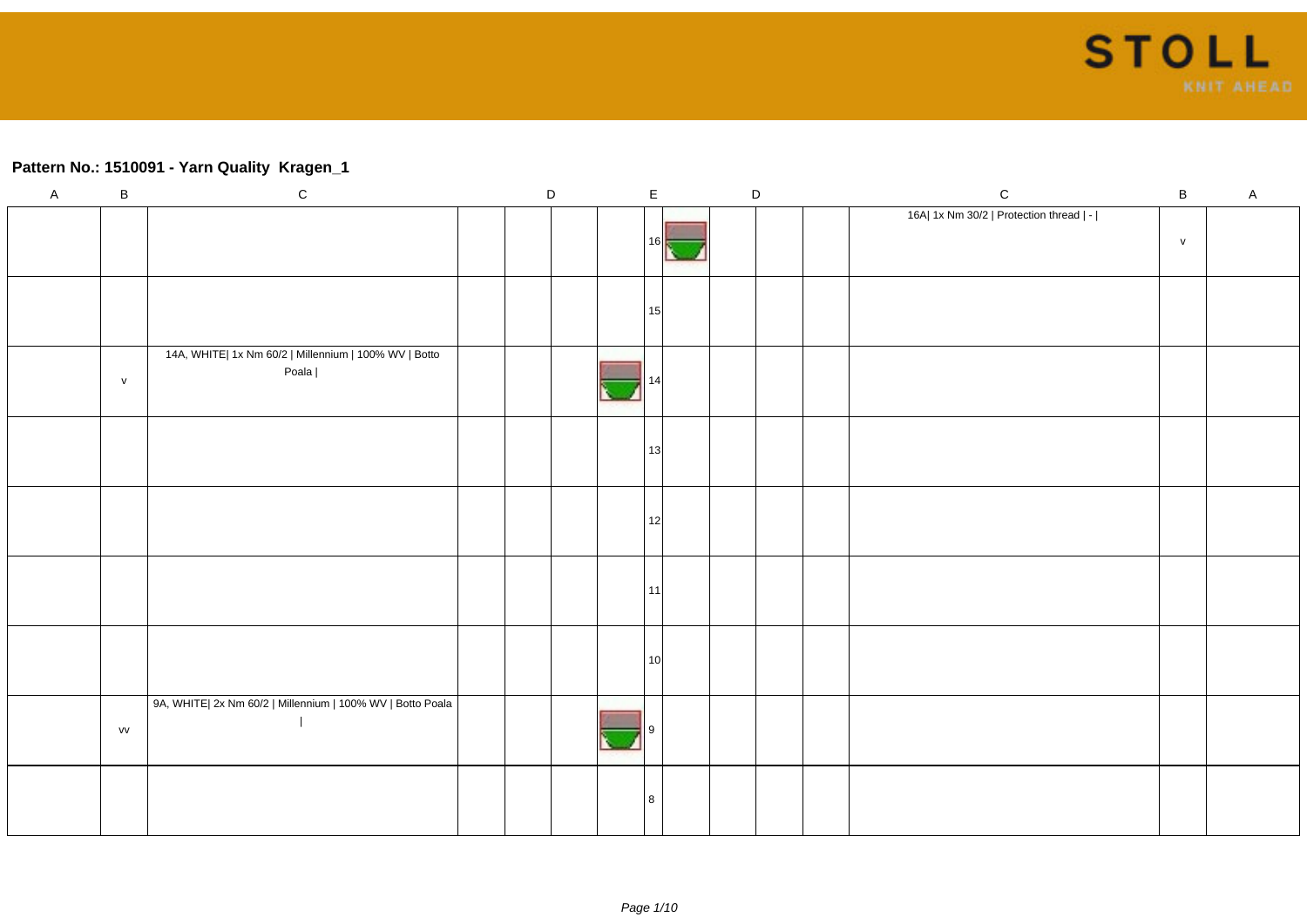#### **Pattern No.: 1510091 - Yarn Quality Kragen\_1**

| $\overline{A}$ | $\sf B$      | $\mathbf C$                                                    |  | D |  |                 | $\mathsf E$ |  | $\mathsf D$ |  | ${\bf C}$                               | $\, {\bf B}$ | $\mathsf{A}$ |
|----------------|--------------|----------------------------------------------------------------|--|---|--|-----------------|-------------|--|-------------|--|-----------------------------------------|--------------|--------------|
|                |              |                                                                |  |   |  | 16I             |             |  |             |  | 16A  1x Nm 30/2   Protection thread   - | $\mathsf{v}$ |              |
|                |              |                                                                |  |   |  | 15              |             |  |             |  |                                         |              |              |
|                | $\mathsf{v}$ | 14A, WHITE  1x Nm 60/2   Millennium   100% WV   Botto<br>Poala |  |   |  |                 |             |  |             |  |                                         |              |              |
|                |              |                                                                |  |   |  | 13              |             |  |             |  |                                         |              |              |
|                |              |                                                                |  |   |  | 12              |             |  |             |  |                                         |              |              |
|                |              |                                                                |  |   |  | 11              |             |  |             |  |                                         |              |              |
|                |              |                                                                |  |   |  | 10 <sup>1</sup> |             |  |             |  |                                         |              |              |
|                | VV           | 9A, WHITE  2x Nm 60/2   Millennium   100% WV   Botto Poala     |  |   |  |                 |             |  |             |  |                                         |              |              |
|                |              |                                                                |  |   |  |                 |             |  |             |  |                                         |              |              |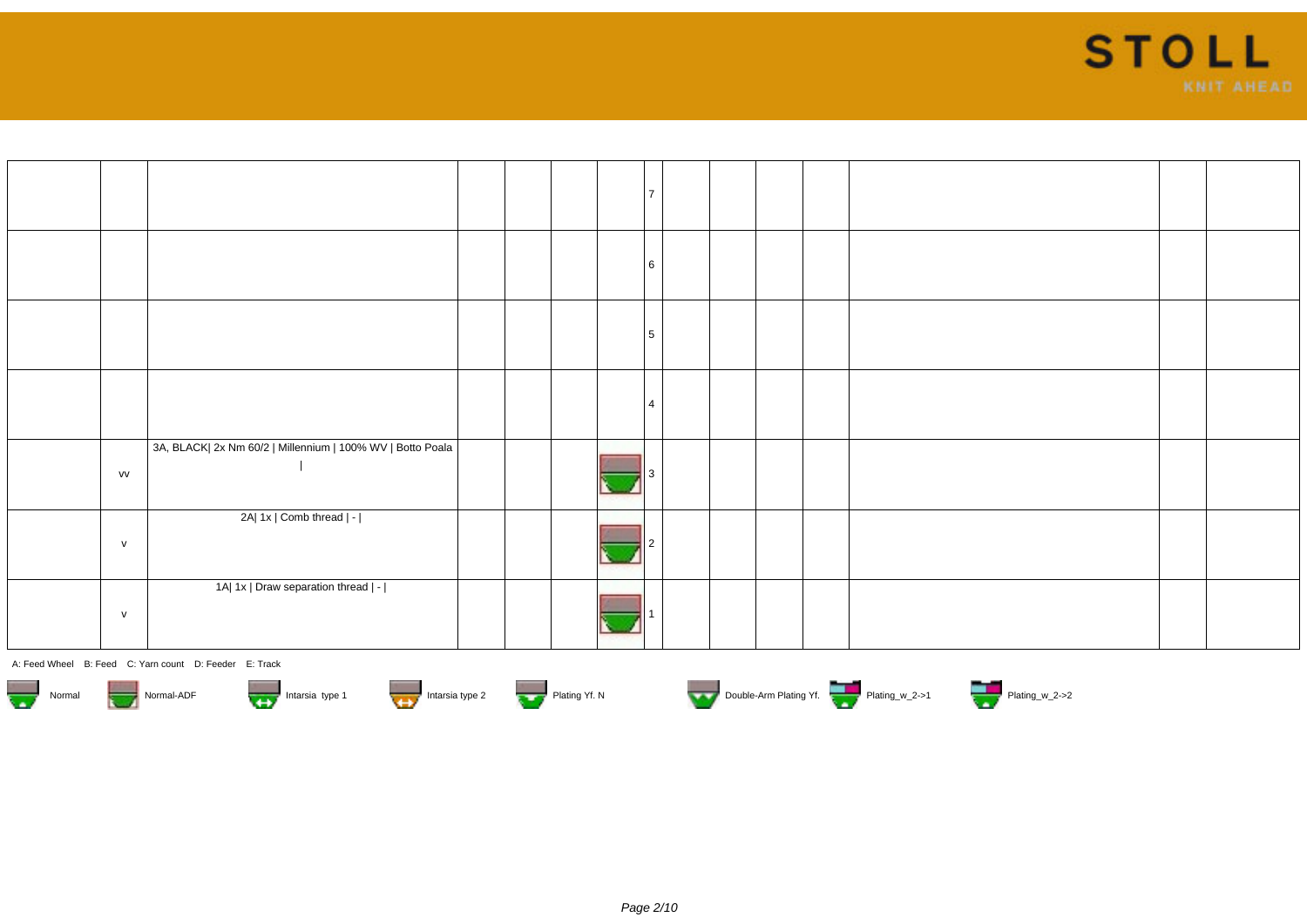

|              |                                                            |  |  | <b>6</b>       |  |  |  |  |
|--------------|------------------------------------------------------------|--|--|----------------|--|--|--|--|
|              |                                                            |  |  | 5              |  |  |  |  |
|              |                                                            |  |  | $\overline{4}$ |  |  |  |  |
| VV           | 3A, BLACK  2x Nm 60/2   Millennium   100% WV   Botto Poala |  |  |                |  |  |  |  |
| $\mathsf{v}$ | 2A  1x   Comb thread   -                                   |  |  |                |  |  |  |  |
| $\mathsf{v}$ | 1A  1x   Draw separation thread   -                        |  |  |                |  |  |  |  |











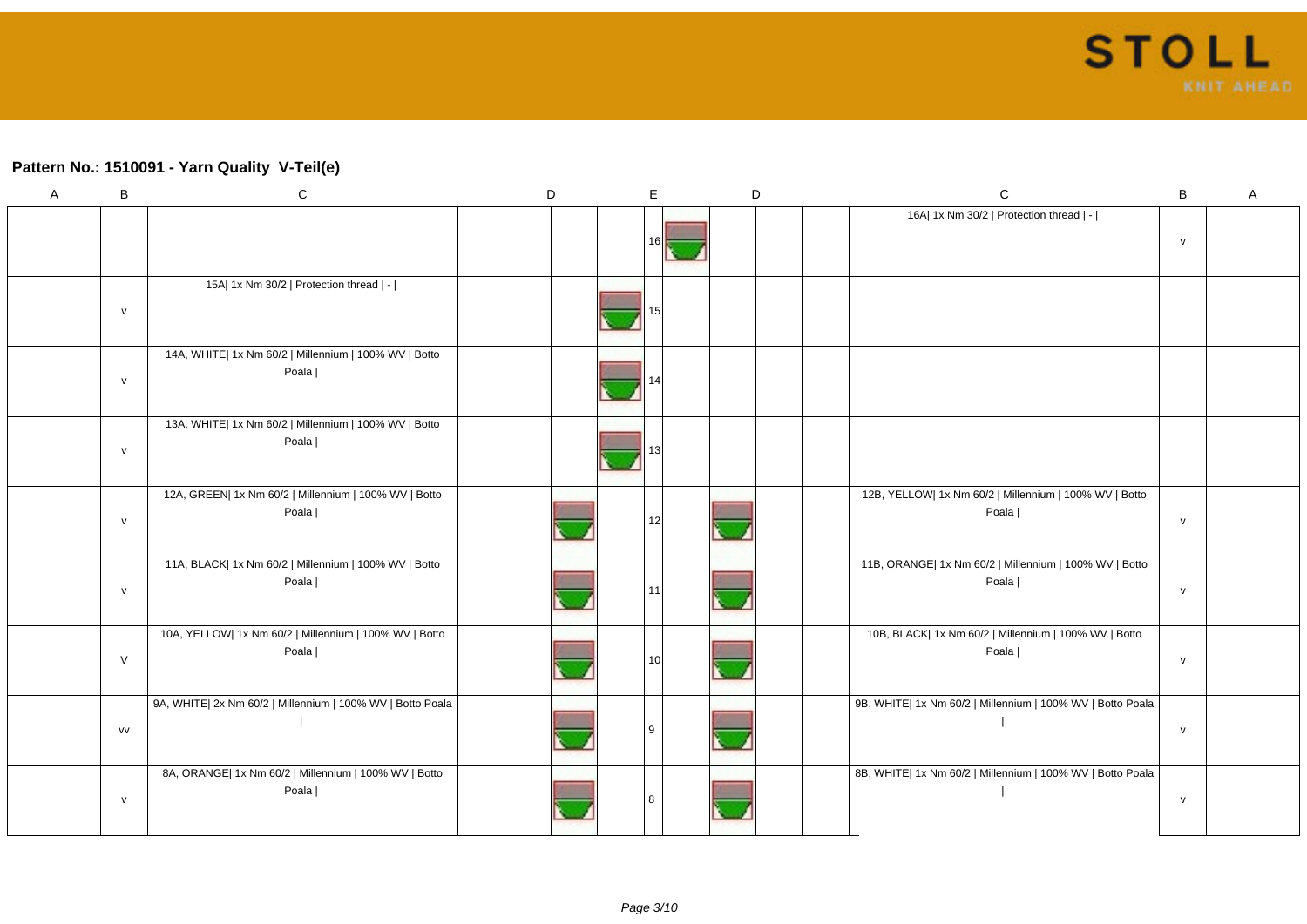#### **Pattern No.: 1510091 - Yarn Quality V-Teil(e)**

| A | B            | ${\bf C}$                                                       | D | E   |  | D | $\mathsf C$                                                     | $\, {\bf B}$ | Α |
|---|--------------|-----------------------------------------------------------------|---|-----|--|---|-----------------------------------------------------------------|--------------|---|
|   |              |                                                                 |   | 161 |  |   | 16A  1x Nm 30/2   Protection thread   -                         | ${\sf v}$    |   |
|   | ${\sf v}$    | 15A  1x Nm 30/2   Protection thread   -                         |   |     |  |   |                                                                 |              |   |
|   | ${\sf v}$    | 14A, WHITE  1x Nm 60/2   Millennium   100% WV   Botto<br>Poala  |   |     |  |   |                                                                 |              |   |
|   | ${\sf v}$    | 13A, WHITE  1x Nm 60/2   Millennium   100% WV   Botto<br>Poala  |   |     |  |   |                                                                 |              |   |
|   | ${\sf v}$    | 12A, GREEN  1x Nm 60/2   Millennium   100% WV   Botto<br>Poala  |   | 12  |  |   | 12B, YELLOW  1x Nm 60/2   Millennium   100% WV   Botto<br>Poala | ${\sf V}$    |   |
|   | ${\sf v}$    | 11A, BLACK  1x Nm 60/2   Millennium   100% WV   Botto<br>Poala  |   | 11  |  |   | 11B, ORANGE  1x Nm 60/2   Millennium   100% WV   Botto<br>Poala | ${\sf V}$    |   |
|   | $\vee$       | 10A, YELLOW  1x Nm 60/2   Millennium   100% WV   Botto<br>Poala |   | 10  |  |   | 10B, BLACK  1x Nm 60/2   Millennium   100% WV   Botto<br>Poala  | ${\sf V}$    |   |
|   | <b>VV</b>    | 9A, WHITE  2x Nm 60/2   Millennium   100% WV   Botto Poala      |   | -9  |  |   | 9B, WHITE  1x Nm 60/2   Millennium   100% WV   Botto Poala      | $\mathsf{v}$ |   |
|   | $\mathsf{v}$ | 8A, ORANGE  1x Nm 60/2   Millennium   100% WV   Botto<br>Poala  |   | 8   |  |   | 8B, WHITE  1x Nm 60/2   Millennium   100% WV   Botto Poala      | $\mathsf{v}$ |   |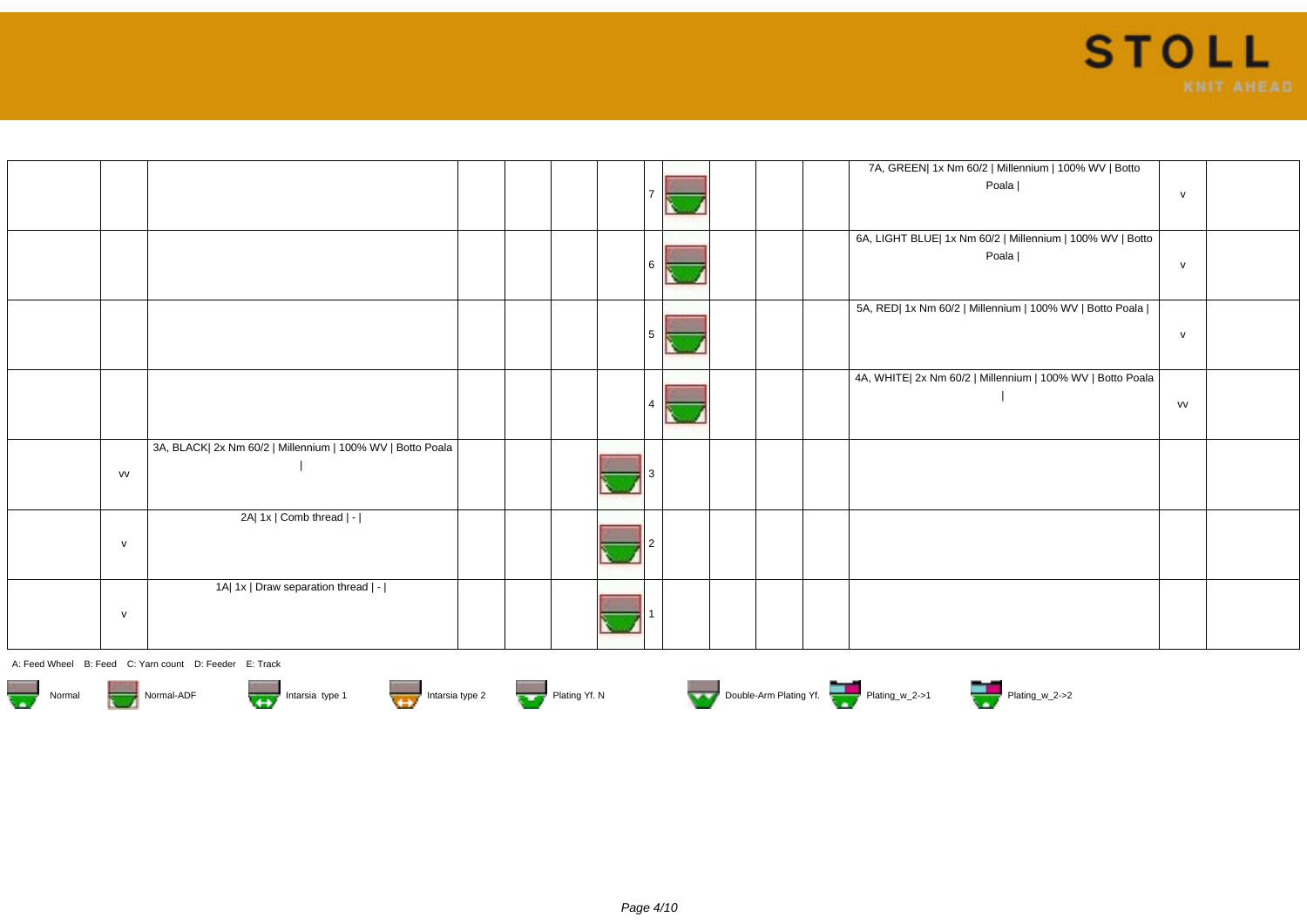

|              |                                                            |  |  |  |  | 7A, GREEN  1x Nm 60/2   Millennium   100% WV   Botto<br>Poala      | $\mathsf{v}$ |  |
|--------------|------------------------------------------------------------|--|--|--|--|--------------------------------------------------------------------|--------------|--|
|              |                                                            |  |  |  |  | 6A, LIGHT BLUE  1x Nm 60/2   Millennium   100% WV   Botto<br>Poala | $\mathsf{v}$ |  |
|              |                                                            |  |  |  |  | 5A, RED  1x Nm 60/2   Millennium   100% WV   Botto Poala           | $\mathsf{v}$ |  |
|              |                                                            |  |  |  |  | 4A, WHITE  2x Nm 60/2   Millennium   100% WV   Botto Poala         | VV           |  |
| <b>VV</b>    | 3A, BLACK  2x Nm 60/2   Millennium   100% WV   Botto Poala |  |  |  |  |                                                                    |              |  |
| $\mathsf{v}$ | 2A  1x   Comb thread   -                                   |  |  |  |  |                                                                    |              |  |
| $\mathsf{v}$ | 1A  1x   Draw separation thread   -                        |  |  |  |  |                                                                    |              |  |













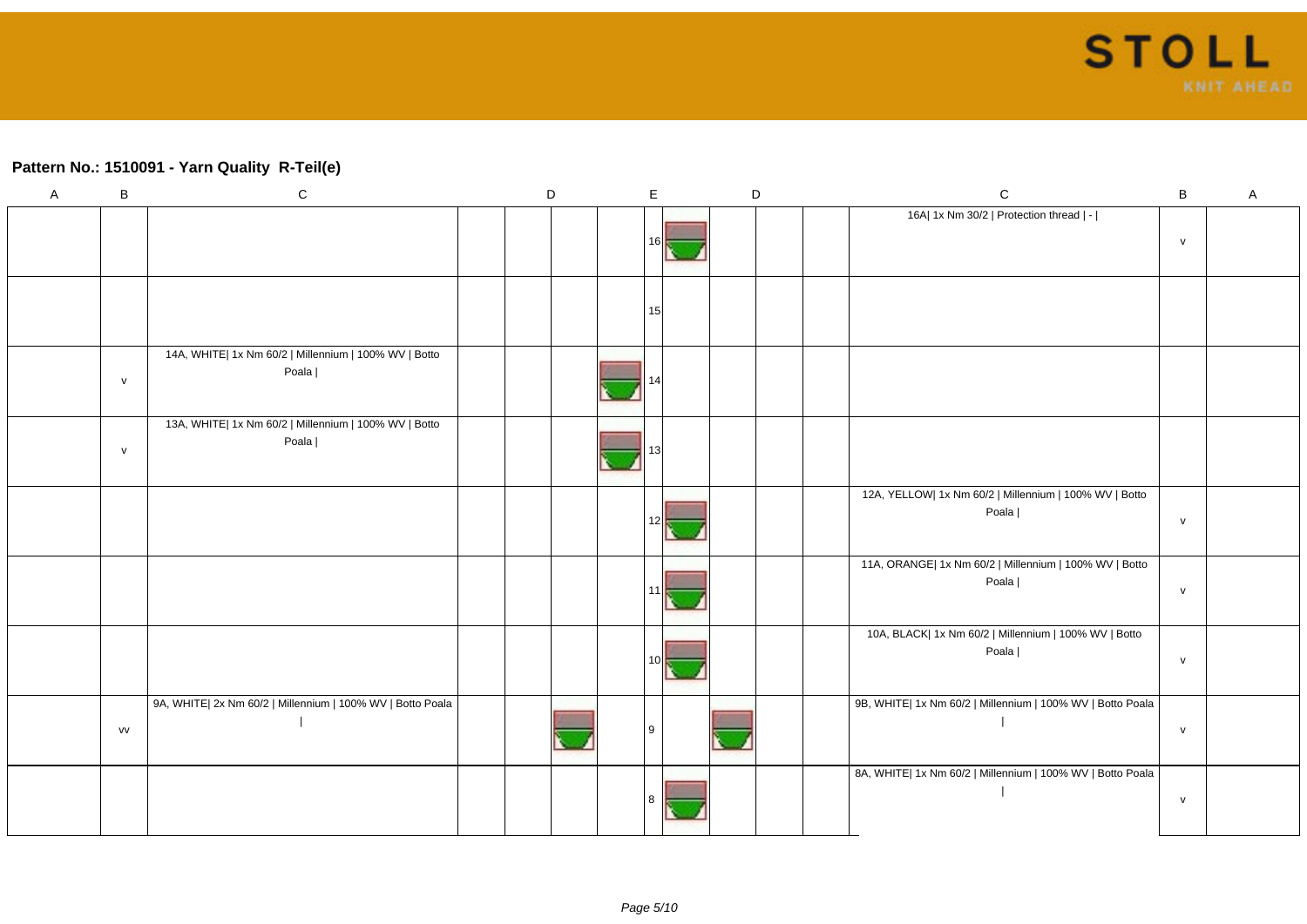### **Pattern No.: 1510091 - Yarn Quality R-Teil(e)**

| $\mathsf{A}$ | B            | ${\bf C}$                                                      | D | $\mathsf E$ | $\mathsf D$ | $\mathsf C$                                                     | $\, {\bf B} \,$ | A |
|--------------|--------------|----------------------------------------------------------------|---|-------------|-------------|-----------------------------------------------------------------|-----------------|---|
|              |              |                                                                |   |             |             | 16A  1x Nm 30/2   Protection thread   -                         | $\mathsf{v}$    |   |
|              |              |                                                                |   | 15          |             |                                                                 |                 |   |
|              | $\mathsf{v}$ | 14A, WHITE  1x Nm 60/2   Millennium   100% WV   Botto<br>Poala |   |             |             |                                                                 |                 |   |
|              | $\mathsf{V}$ | 13A, WHITE  1x Nm 60/2   Millennium   100% WV   Botto<br>Poala |   |             |             |                                                                 |                 |   |
|              |              |                                                                |   | 12          |             | 12A, YELLOW  1x Nm 60/2   Millennium   100% WV   Botto<br>Poala | $\mathsf{v}$    |   |
|              |              |                                                                |   |             |             | 11A, ORANGE  1x Nm 60/2   Millennium   100% WV   Botto<br>Poala | $\mathsf{v}$    |   |
|              |              |                                                                |   |             |             | 10A, BLACK  1x Nm 60/2   Millennium   100% WV   Botto<br>Poala  | $\mathsf{v}$    |   |
|              | VV           | 9A, WHITE  2x Nm 60/2   Millennium   100% WV   Botto Poala     |   | l 9         |             | 9B, WHITE  1x Nm 60/2   Millennium   100% WV   Botto Poala      | ${\sf V}$       |   |
|              |              |                                                                |   |             |             | 8A, WHITE  1x Nm 60/2   Millennium   100% WV   Botto Poala      | $\mathsf{v}$    |   |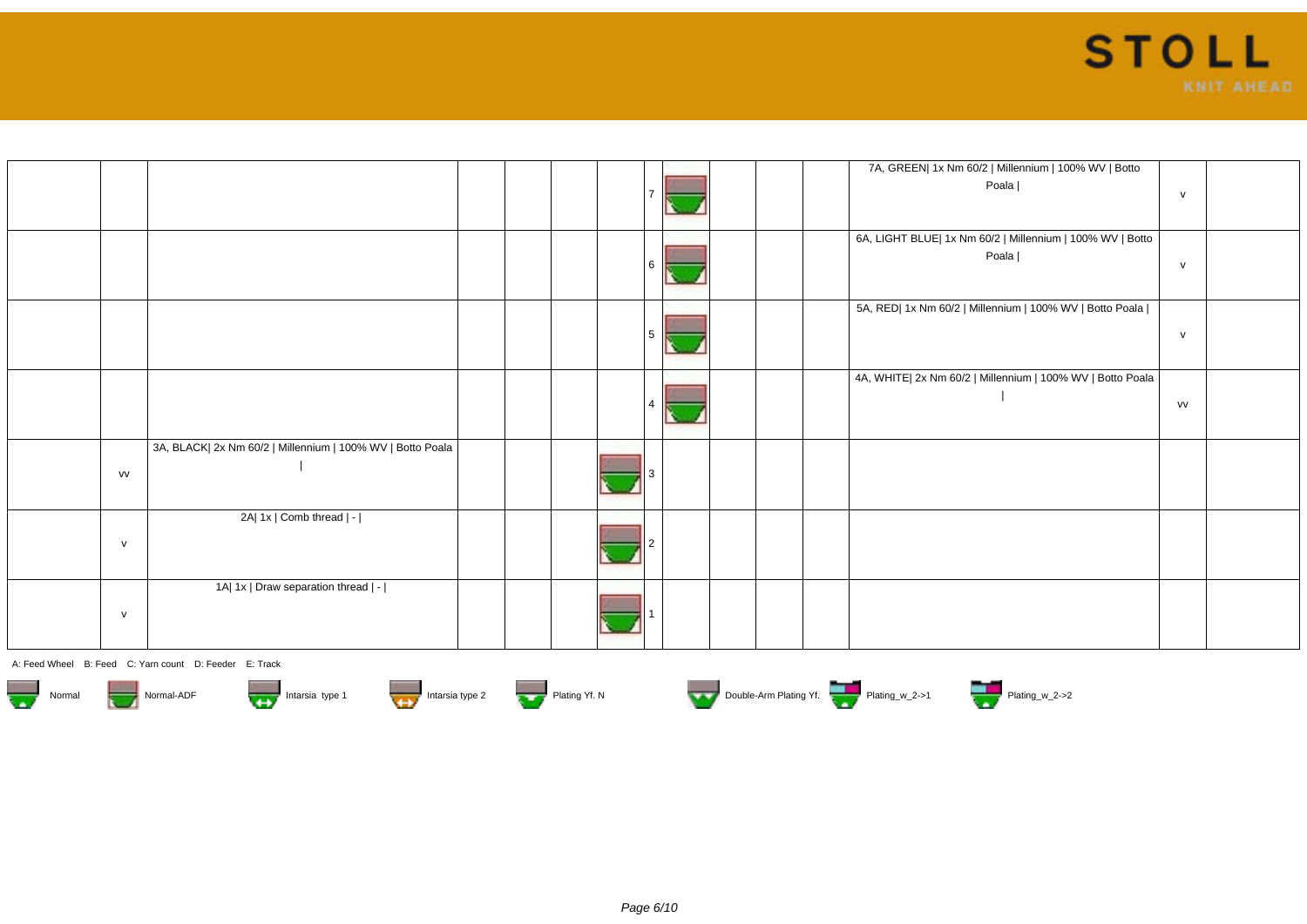

|              |                                                            |  |  |  |  | 7A, GREEN  1x Nm 60/2   Millennium   100% WV   Botto<br>Poala      | $\mathsf{v}$ |  |
|--------------|------------------------------------------------------------|--|--|--|--|--------------------------------------------------------------------|--------------|--|
|              |                                                            |  |  |  |  | 6A, LIGHT BLUE  1x Nm 60/2   Millennium   100% WV   Botto<br>Poala | $\mathsf{v}$ |  |
|              |                                                            |  |  |  |  | 5A, RED  1x Nm 60/2   Millennium   100% WV   Botto Poala           | $\mathsf{v}$ |  |
|              |                                                            |  |  |  |  | 4A, WHITE  2x Nm 60/2   Millennium   100% WV   Botto Poala         | VV           |  |
| VV           | 3A, BLACK  2x Nm 60/2   Millennium   100% WV   Botto Poala |  |  |  |  |                                                                    |              |  |
| $\mathsf{v}$ | 2A  1x   Comb thread   -                                   |  |  |  |  |                                                                    |              |  |
| $\mathsf{v}$ | 1A  1x   Draw separation thread   -                        |  |  |  |  |                                                                    |              |  |













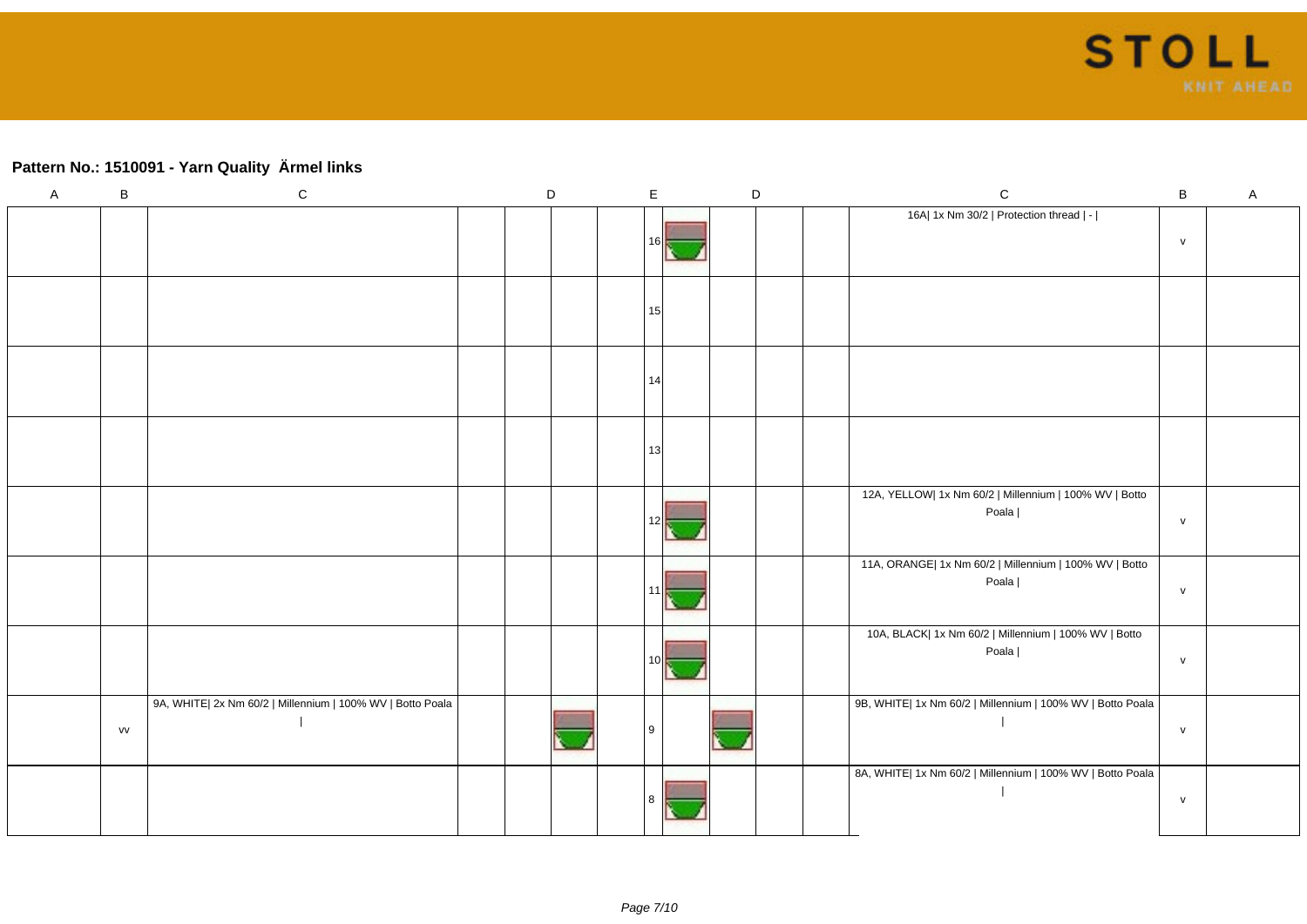# **Pattern No.: 1510091 - Yarn Quality Ärmel links**

| $\mathsf A$ | $\sf B$ | ${\bf C}$                                                  | D |  | $\mathsf E$     | $\mathsf D$ |  | $\mathsf C$                                                     | B | $\mathsf A$ |
|-------------|---------|------------------------------------------------------------|---|--|-----------------|-------------|--|-----------------------------------------------------------------|---|-------------|
|             |         |                                                            |   |  | 161             |             |  | 16A  1x Nm 30/2   Protection thread   -                         | V |             |
|             |         |                                                            |   |  | 15 <sup>1</sup> |             |  |                                                                 |   |             |
|             |         |                                                            |   |  | 14              |             |  |                                                                 |   |             |
|             |         |                                                            |   |  | 13              |             |  |                                                                 |   |             |
|             |         |                                                            |   |  | 121             |             |  | 12A, YELLOW  1x Nm 60/2   Millennium   100% WV   Botto<br>Poala | V |             |
|             |         |                                                            |   |  |                 |             |  | 11A, ORANGE  1x Nm 60/2   Millennium   100% WV   Botto<br>Poala | V |             |
|             |         |                                                            |   |  |                 |             |  | 10A, BLACK  1x Nm 60/2   Millennium   100% WV   Botto<br>Poala  | V |             |
|             | vv      | 9A, WHITE  2x Nm 60/2   Millennium   100% WV   Botto Poala |   |  | <b>Q</b>        |             |  | 9B, WHITE  1x Nm 60/2   Millennium   100% WV   Botto Poala      | V |             |
|             |         |                                                            |   |  |                 |             |  | 8A, WHITE  1x Nm 60/2   Millennium   100% WV   Botto Poala      | V |             |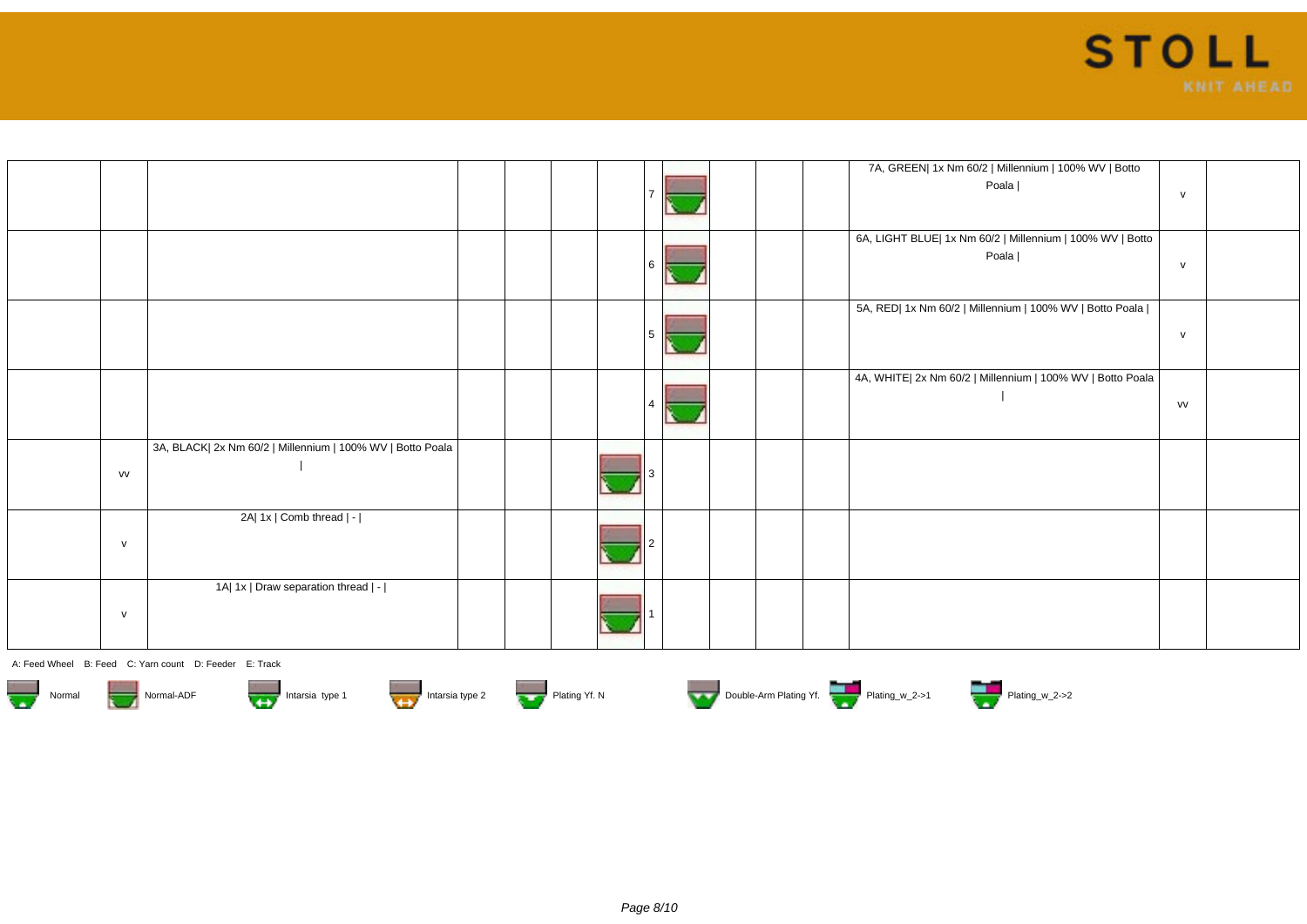

|              |                                                            |  |  |  |  | 7A, GREEN  1x Nm 60/2   Millennium   100% WV   Botto<br>Poala      | $\mathsf{v}$ |  |
|--------------|------------------------------------------------------------|--|--|--|--|--------------------------------------------------------------------|--------------|--|
|              |                                                            |  |  |  |  | 6A, LIGHT BLUE  1x Nm 60/2   Millennium   100% WV   Botto<br>Poala | $\mathsf{v}$ |  |
|              |                                                            |  |  |  |  | 5A, RED  1x Nm 60/2   Millennium   100% WV   Botto Poala           | $\mathsf{v}$ |  |
|              |                                                            |  |  |  |  | 4A, WHITE  2x Nm 60/2   Millennium   100% WV   Botto Poala         | VV           |  |
| VV           | 3A, BLACK  2x Nm 60/2   Millennium   100% WV   Botto Poala |  |  |  |  |                                                                    |              |  |
| $\mathsf{v}$ | 2A  1x   Comb thread   -                                   |  |  |  |  |                                                                    |              |  |
| $\mathsf{v}$ | 1A  1x   Draw separation thread   -                        |  |  |  |  |                                                                    |              |  |













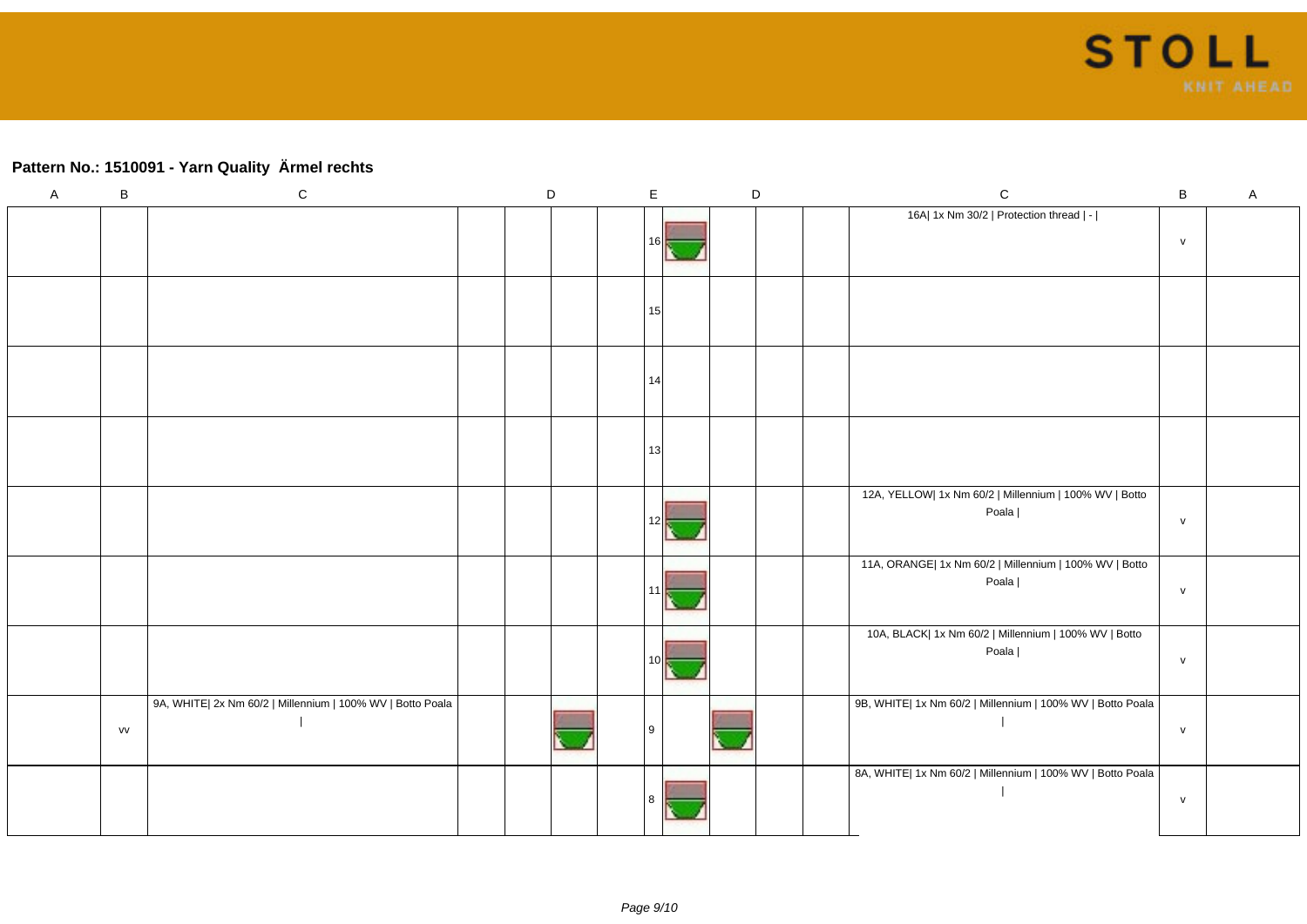## **Pattern No.: 1510091 - Yarn Quality Ärmel rechts**

| $\mathsf A$ | $\sf B$ | ${\bf C}$                                                  | D |  | E    | $\mathsf D$ |  | ${\bf C}$                                                       | $\, {\bf B}$ | $\mathsf A$ |
|-------------|---------|------------------------------------------------------------|---|--|------|-------------|--|-----------------------------------------------------------------|--------------|-------------|
|             |         |                                                            |   |  | 16 I |             |  | 16A  1x Nm 30/2   Protection thread   -                         | $\mathsf{v}$ |             |
|             |         |                                                            |   |  | 15   |             |  |                                                                 |              |             |
|             |         |                                                            |   |  | 14   |             |  |                                                                 |              |             |
|             |         |                                                            |   |  | 13   |             |  |                                                                 |              |             |
|             |         |                                                            |   |  |      |             |  | 12A, YELLOW  1x Nm 60/2   Millennium   100% WV   Botto<br>Poala | $\mathsf{v}$ |             |
|             |         |                                                            |   |  |      |             |  | 11A, ORANGE  1x Nm 60/2   Millennium   100% WV   Botto<br>Poala | V            |             |
|             |         |                                                            |   |  |      |             |  | 10A, BLACK  1x Nm 60/2   Millennium   100% WV   Botto<br>Poala  | V            |             |
|             | vv      | 9A, WHITE  2x Nm 60/2   Millennium   100% WV   Botto Poala |   |  | l 9  |             |  | 9B, WHITE  1x Nm 60/2   Millennium   100% WV   Botto Poala      | $\mathsf{v}$ |             |
|             |         |                                                            |   |  |      |             |  | 8A, WHITE  1x Nm 60/2   Millennium   100% WV   Botto Poala      | $\mathsf{v}$ |             |